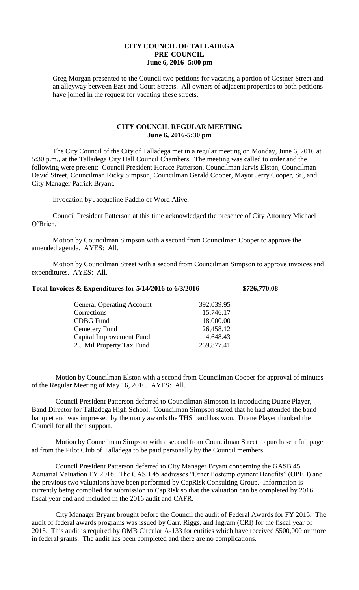## **CITY COUNCIL OF TALLADEGA PRE-COUNCIL June 6, 2016- 5:00 pm**

Greg Morgan presented to the Council two petitions for vacating a portion of Costner Street and an alleyway between East and Court Streets. All owners of adjacent properties to both petitions have joined in the request for vacating these streets.

## **CITY COUNCIL REGULAR MEETING June 6, 2016-5:30 pm**

The City Council of the City of Talladega met in a regular meeting on Monday, June 6, 2016 at 5:30 p.m., at the Talladega City Hall Council Chambers. The meeting was called to order and the following were present: Council President Horace Patterson, Councilman Jarvis Elston, Councilman David Street, Councilman Ricky Simpson, Councilman Gerald Cooper, Mayor Jerry Cooper, Sr., and City Manager Patrick Bryant.

Invocation by Jacqueline Paddio of Word Alive.

Council President Patterson at this time acknowledged the presence of City Attorney Michael O'Brien.

Motion by Councilman Simpson with a second from Councilman Cooper to approve the amended agenda. AYES: All.

Motion by Councilman Street with a second from Councilman Simpson to approve invoices and expenditures. AYES: All.

## **Total Invoices & Expenditures for 5/14/2016 to 6/3/2016 \$726,770.08**

| <b>General Operating Account</b> | 392,039.95 |
|----------------------------------|------------|
| Corrections                      | 15,746.17  |
| <b>CDBG</b> Fund                 | 18,000.00  |
| Cemetery Fund                    | 26,458.12  |
| Capital Improvement Fund         | 4,648.43   |
| 2.5 Mil Property Tax Fund        | 269,877.41 |

Motion by Councilman Elston with a second from Councilman Cooper for approval of minutes of the Regular Meeting of May 16, 2016. AYES: All.

Council President Patterson deferred to Councilman Simpson in introducing Duane Player, Band Director for Talladega High School. Councilman Simpson stated that he had attended the band banquet and was impressed by the many awards the THS band has won. Duane Player thanked the Council for all their support.

Motion by Councilman Simpson with a second from Councilman Street to purchase a full page ad from the Pilot Club of Talladega to be paid personally by the Council members.

Council President Patterson deferred to City Manager Bryant concerning the GASB 45 Actuarial Valuation FY 2016. The GASB 45 addresses "Other Postemployment Benefits" (OPEB) and the previous two valuations have been performed by CapRisk Consulting Group. Information is currently being complied for submission to CapRisk so that the valuation can be completed by 2016 fiscal year end and included in the 2016 audit and CAFR.

City Manager Bryant brought before the Council the audit of Federal Awards for FY 2015. The audit of federal awards programs was issued by Carr, Riggs, and Ingram (CRI) for the fiscal year of 2015. This audit is required by OMB Circular A-133 for entities which have received \$500,000 or more in federal grants. The audit has been completed and there are no complications.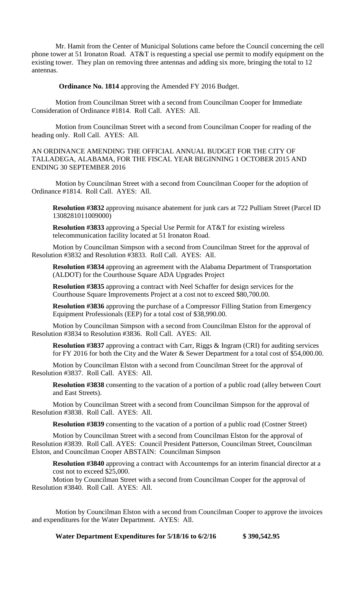Mr. Hamit from the Center of Municipal Solutions came before the Council concerning the cell phone tower at 51 Ironaton Road. AT&T is requesting a special use permit to modify equipment on the existing tower. They plan on removing three antennas and adding six more, bringing the total to 12 antennas.

**Ordinance No. 1814** approving the Amended FY 2016 Budget.

Motion from Councilman Street with a second from Councilman Cooper for Immediate Consideration of Ordinance #1814. Roll Call. AYES: All.

Motion from Councilman Street with a second from Councilman Cooper for reading of the heading only. Roll Call. AYES: All.

AN ORDINANCE AMENDING THE OFFICIAL ANNUAL BUDGET FOR THE CITY OF TALLADEGA, ALABAMA, FOR THE FISCAL YEAR BEGINNING 1 OCTOBER 2015 AND ENDING 30 SEPTEMBER 2016

Motion by Councilman Street with a second from Councilman Cooper for the adoption of Ordinance #1814. Roll Call. AYES: All.

**Resolution #3832** approving nuisance abatement for junk cars at 722 Pulliam Street (Parcel ID 1308281011009000)

**Resolution #3833** approving a Special Use Permit for AT&T for existing wireless telecommunication facility located at 51 Ironaton Road.

Motion by Councilman Simpson with a second from Councilman Street for the approval of Resolution #3832 and Resolution #3833. Roll Call. AYES: All.

**Resolution #3834** approving an agreement with the Alabama Department of Transportation (ALDOT) for the Courthouse Square ADA Upgrades Project

**Resolution #3835** approving a contract with Neel Schaffer for design services for the Courthouse Square Improvements Project at a cost not to exceed \$80,700.00.

**Resolution #3836** approving the purchase of a Compressor Filling Station from Emergency Equipment Professionals (EEP) for a total cost of \$38,990.00.

Motion by Councilman Simpson with a second from Councilman Elston for the approval of Resolution #3834 to Resolution #3836. Roll Call. AYES: All.

**Resolution #3837** approving a contract with Carr, Riggs & Ingram (CRI) for auditing services for FY 2016 for both the City and the Water & Sewer Department for a total cost of \$54,000.00.

Motion by Councilman Elston with a second from Councilman Street for the approval of Resolution #3837. Roll Call. AYES: All.

**Resolution #3838** consenting to the vacation of a portion of a public road (alley between Court and East Streets).

Motion by Councilman Street with a second from Councilman Simpson for the approval of Resolution #3838. Roll Call. AYES: All.

**Resolution #3839** consenting to the vacation of a portion of a public road (Costner Street)

Motion by Councilman Street with a second from Councilman Elston for the approval of Resolution #3839. Roll Call. AYES: Council President Patterson, Councilman Street, Councilman Elston, and Councilman Cooper ABSTAIN: Councilman Simpson

**Resolution #3840** approving a contract with Accountemps for an interim financial director at a cost not to exceed \$25,000.

Motion by Councilman Street with a second from Councilman Cooper for the approval of Resolution #3840. Roll Call. AYES: All.

Motion by Councilman Elston with a second from Councilman Cooper to approve the invoices and expenditures for the Water Department. AYES: All.

**Water Department Expenditures for 5/18/16 to 6/2/16 \$ 390,542.95**